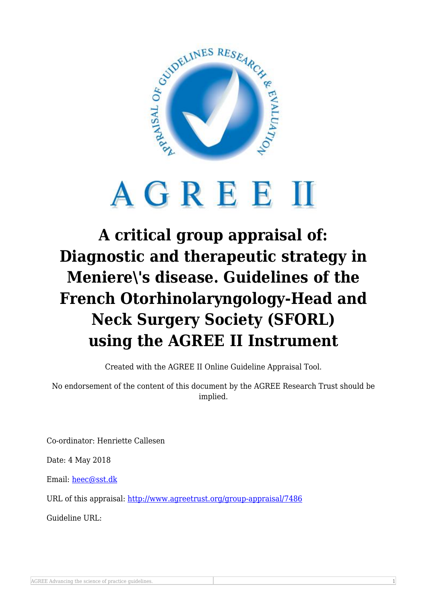

## AGREEM

## **A critical group appraisal of: Diagnostic and therapeutic strategy in Meniere\'s disease. Guidelines of the French Otorhinolaryngology-Head and Neck Surgery Society (SFORL) using the AGREE II Instrument**

Created with the AGREE II Online Guideline Appraisal Tool.

No endorsement of the content of this document by the AGREE Research Trust should be implied.

Co-ordinator: Henriette Callesen

Date: 4 May 2018

Email: [heec@sst.dk](mailto:heec@sst.dk)

URL of this appraisal:<http://www.agreetrust.org/group-appraisal/7486>

Guideline URL: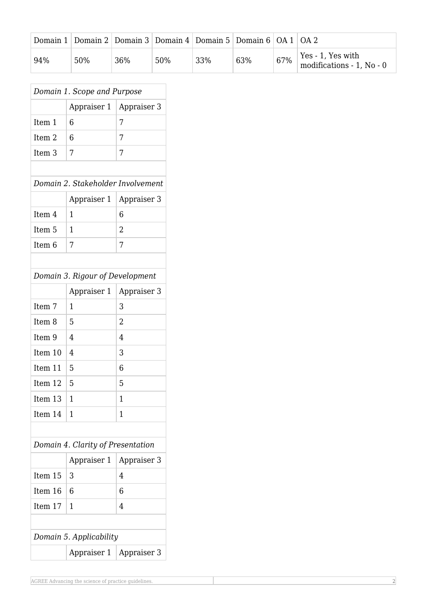|     | Domain 1   Domain 2   Domain 3   Domain 4   Domain 5   Domain 6   OA 1   OA 2 |     |     |     |     |     |                                                |
|-----|-------------------------------------------------------------------------------|-----|-----|-----|-----|-----|------------------------------------------------|
| 94% | 50%                                                                           | 36% | 50% | 33% | 63% | 67% | Yes - 1, Yes with<br>modifications - 1, No - 0 |

| Domain 1. Scope and Purpose       |             |                |  |  |  |  |  |  |
|-----------------------------------|-------------|----------------|--|--|--|--|--|--|
|                                   | Appraiser 1 | Appraiser 3    |  |  |  |  |  |  |
| Item 1                            | 6           | 7              |  |  |  |  |  |  |
| Item <sub>2</sub>                 | 6           | 7              |  |  |  |  |  |  |
| Item <sub>3</sub>                 | 7           | 7              |  |  |  |  |  |  |
|                                   |             |                |  |  |  |  |  |  |
| Domain 2. Stakeholder Involvement |             |                |  |  |  |  |  |  |
|                                   | Appraiser 1 | Appraiser 3    |  |  |  |  |  |  |
| Item 4                            | 1           | 6              |  |  |  |  |  |  |
| Item <sub>5</sub>                 | 1           | $\overline{2}$ |  |  |  |  |  |  |
| Item <sub>6</sub>                 | 7           | 7              |  |  |  |  |  |  |
|                                   |             |                |  |  |  |  |  |  |
| Domain 3. Rigour of Development   |             |                |  |  |  |  |  |  |
|                                   | Appraiser 1 | Appraiser 3    |  |  |  |  |  |  |
| Item 7                            | 1           | 3              |  |  |  |  |  |  |
| Item <sub>8</sub>                 | 5           | $\overline{2}$ |  |  |  |  |  |  |
| Item 9                            | 4           | 4              |  |  |  |  |  |  |
| Item 10                           | 4           | 3              |  |  |  |  |  |  |
| Item 11                           | 5           | 6              |  |  |  |  |  |  |
| Item 12                           | 5           | 5              |  |  |  |  |  |  |
| Item 13                           | 1           | 1              |  |  |  |  |  |  |
| Item 14                           | 1           | 1              |  |  |  |  |  |  |
|                                   |             |                |  |  |  |  |  |  |
| Domain 4. Clarity of Presentation |             |                |  |  |  |  |  |  |
|                                   | Appraiser 1 | Appraiser 3    |  |  |  |  |  |  |
| Item 15                           | 3           | 4              |  |  |  |  |  |  |
| Item 16                           | 6           | 6              |  |  |  |  |  |  |
| Item 17                           | 1           | 4              |  |  |  |  |  |  |
|                                   |             |                |  |  |  |  |  |  |
| Domain 5. Applicability           |             |                |  |  |  |  |  |  |
|                                   | Appraiser 1 | Appraiser 3    |  |  |  |  |  |  |